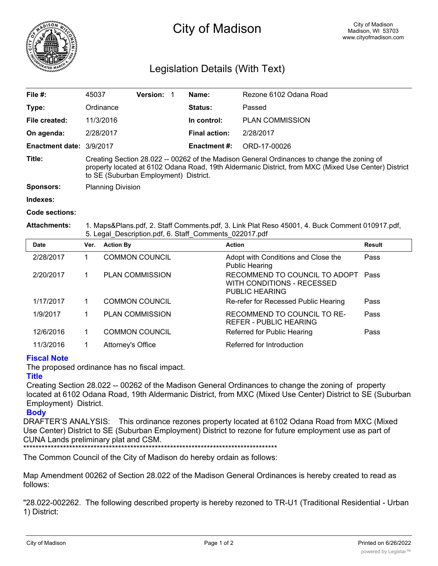

# City of Madison

## Legislation Details (With Text)

| File #:                  | 45037                                                                                                                                                                                                                                      | <b>Version:</b> |  | Name:                | Rezone 6102 Odana Road |  |  |
|--------------------------|--------------------------------------------------------------------------------------------------------------------------------------------------------------------------------------------------------------------------------------------|-----------------|--|----------------------|------------------------|--|--|
| Type:                    | Ordinance                                                                                                                                                                                                                                  |                 |  | Status:              | Passed                 |  |  |
| File created:            | 11/3/2016                                                                                                                                                                                                                                  |                 |  | In control:          | <b>PLAN COMMISSION</b> |  |  |
| On agenda:               | 2/28/2017                                                                                                                                                                                                                                  |                 |  | <b>Final action:</b> | 2/28/2017              |  |  |
| Enactment date: 3/9/2017 |                                                                                                                                                                                                                                            |                 |  | <b>Enactment #:</b>  | ORD-17-00026           |  |  |
| Title:                   | Creating Section 28.022 -- 00262 of the Madison General Ordinances to change the zoning of<br>property located at 6102 Odana Road, 19th Aldermanic District, from MXC (Mixed Use Center) District<br>to SE (Suburban Employment) District. |                 |  |                      |                        |  |  |
| <b>Sponsors:</b>         | <b>Planning Division</b>                                                                                                                                                                                                                   |                 |  |                      |                        |  |  |
| Indexes:                 |                                                                                                                                                                                                                                            |                 |  |                      |                        |  |  |

**Code sections:**

#### **Attachments:** 1. Maps&Plans.pdf, 2. Staff Comments.pdf, 3. Link Plat Reso 45001, 4. Buck Comment 010917.pdf, 5. Legal\_Description.pdf, 6. Staff\_Comments\_022017.pdf

| <b>Date</b> | Ver. | <b>Action By</b>       | <b>Action</b>                                                                 | Result |
|-------------|------|------------------------|-------------------------------------------------------------------------------|--------|
| 2/28/2017   |      | <b>COMMON COUNCIL</b>  | Adopt with Conditions and Close the<br><b>Public Hearing</b>                  | Pass   |
| 2/20/2017   |      | <b>PLAN COMMISSION</b> | RECOMMEND TO COUNCIL TO ADOPT<br>WITH CONDITIONS - RECESSED<br>PUBLIC HEARING | Pass   |
| 1/17/2017   |      | <b>COMMON COUNCIL</b>  | Re-refer for Recessed Public Hearing                                          | Pass   |
| 1/9/2017    |      | <b>PLAN COMMISSION</b> | RECOMMEND TO COUNCIL TO RE-<br>REFER - PUBLIC HEARING                         | Pass   |
| 12/6/2016   |      | <b>COMMON COUNCIL</b>  | Referred for Public Hearing                                                   | Pass   |
| 11/3/2016   |      | Attorney's Office      | Referred for Introduction                                                     |        |

### **Fiscal Note**

The proposed ordinance has no fiscal impact.

### **Title**

Creating Section 28.022 -- 00262 of the Madison General Ordinances to change the zoning of property located at 6102 Odana Road, 19th Aldermanic District, from MXC (Mixed Use Center) District to SE (Suburban Employment) District.

#### **Body**

DRAFTER'S ANALYSIS: This ordinance rezones property located at 6102 Odana Road from MXC (Mixed Use Center) District to SE (Suburban Employment) District to rezone for future employment use as part of CUNA Lands preliminary plat and CSM.

\*\*\*\*\*\*\*\*\*\*\*\*\*\*\*\*\*\*\*\*\*\*\*\*\*\*\*\*\*\*\*\*\*\*\*\*\*\*\*\*\*\*\*\*\*\*\*\*\*\*\*\*\*\*\*\*\*\*\*\*\*\*\*\*\*\*\*\*\*\*\*\*\*\*\*\*\*\*\*\*\*\*\*

The Common Council of the City of Madison do hereby ordain as follows:

Map Amendment 00262 of Section 28.022 of the Madison General Ordinances is hereby created to read as follows:

"28.022-002262. The following described property is hereby rezoned to TR-U1 (Traditional Residential - Urban 1) District: